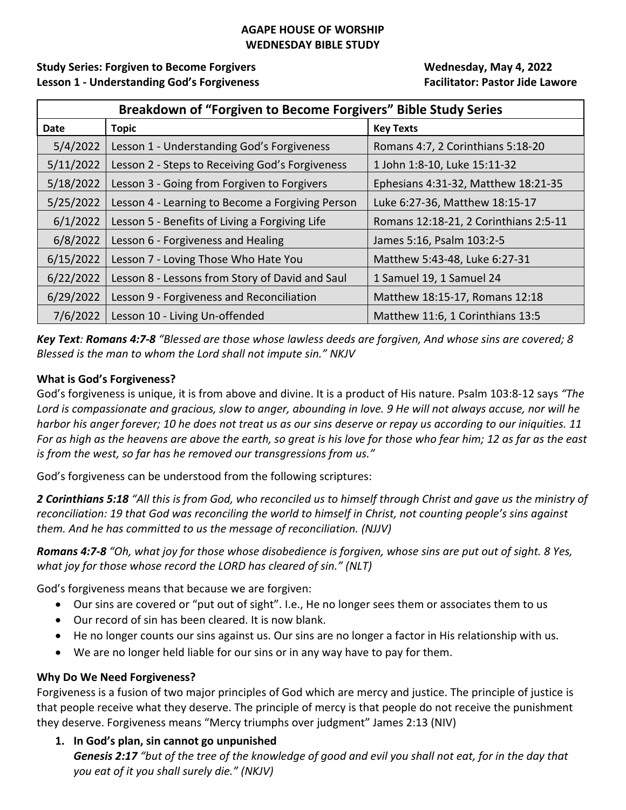### **AGAPE HOUSE OF WORSHIP WEDNESDAY BIBLE STUDY**

**Study Series: Forgiven to Become Forgivers Wednesday, May 4, 2022 Lesson 1 ‐ Understanding God's Forgiveness Facilitator: Pastor Jide Lawore**

| Breakdown of "Forgiven to Become Forgivers" Bible Study Series |                                                  |                                       |
|----------------------------------------------------------------|--------------------------------------------------|---------------------------------------|
| Date                                                           | <b>Topic</b>                                     | <b>Key Texts</b>                      |
| 5/4/2022                                                       | Lesson 1 - Understanding God's Forgiveness       | Romans 4:7, 2 Corinthians 5:18-20     |
| 5/11/2022                                                      | Lesson 2 - Steps to Receiving God's Forgiveness  | 1 John 1:8-10, Luke 15:11-32          |
| 5/18/2022                                                      | Lesson 3 - Going from Forgiven to Forgivers      | Ephesians 4:31-32, Matthew 18:21-35   |
| 5/25/2022                                                      | Lesson 4 - Learning to Become a Forgiving Person | Luke 6:27-36, Matthew 18:15-17        |
| 6/1/2022                                                       | Lesson 5 - Benefits of Living a Forgiving Life   | Romans 12:18-21, 2 Corinthians 2:5-11 |
| 6/8/2022                                                       | Lesson 6 - Forgiveness and Healing               | James 5:16, Psalm 103:2-5             |
| 6/15/2022                                                      | Lesson 7 - Loving Those Who Hate You             | Matthew 5:43-48, Luke 6:27-31         |
| 6/22/2022                                                      | Lesson 8 - Lessons from Story of David and Saul  | 1 Samuel 19, 1 Samuel 24              |
| 6/29/2022                                                      | Lesson 9 - Forgiveness and Reconciliation        | Matthew 18:15-17, Romans 12:18        |
| 7/6/2022                                                       | Lesson 10 - Living Un-offended                   | Matthew 11:6, 1 Corinthians 13:5      |

Key Text: Romans 4:7-8 "Blessed are those whose lawless deeds are forgiven, And whose sins are covered; 8 *Blessed is the man to whom the Lord shall not impute sin." NKJV*

### **What is God's Forgiveness?**

God's forgiveness is unique, it is from above and divine. It is a product of His nature. Psalm 103:8‐12 says *"The* Lord is compassionate and gracious, slow to anger, abounding in love. 9 He will not always accuse, nor will he harbor his anger forever; 10 he does not treat us as our sins deserve or repay us according to our iniquities. 11 For as high as the heavens are above the earth, so great is his love for those who fear him; 12 as far as the east *is from the west, so far has he removed our transgressions from us."*

God's forgiveness can be understood from the following scriptures:

2 Corinthians 5:18 "All this is from God, who reconciled us to himself through Christ and gave us the ministry of reconciliation: 19 that God was reconciling the world to himself in Christ, not counting people's sins against *them. And he has committed to us the message of reconciliation. (NJJV)*

Romans 4:7-8 "Oh, what joy for those whose disobedience is forgiven, whose sins are put out of sight. 8 Yes, *what joy for those whose record the LORD has cleared of sin." (NLT)*

God's forgiveness means that because we are forgiven:

- Our sins are covered or "put out of sight". I.e., He no longer sees them or associates them to us
- Our record of sin has been cleared. It is now blank.
- He no longer counts our sins against us. Our sins are no longer a factor in His relationship with us.
- We are no longer held liable for our sins or in any way have to pay for them.

### **Why Do We Need Forgiveness?**

Forgiveness is a fusion of two major principles of God which are mercy and justice. The principle of justice is that people receive what they deserve. The principle of mercy is that people do not receive the punishment they deserve. Forgiveness means "Mercy triumphs over judgment" James 2:13 (NIV)

**1. In God's plan, sin cannot go unpunished** 

Genesis 2:17 "but of the tree of the knowledge of good and evil you shall not eat, for in the day that *you eat of it you shall surely die." (NKJV)*